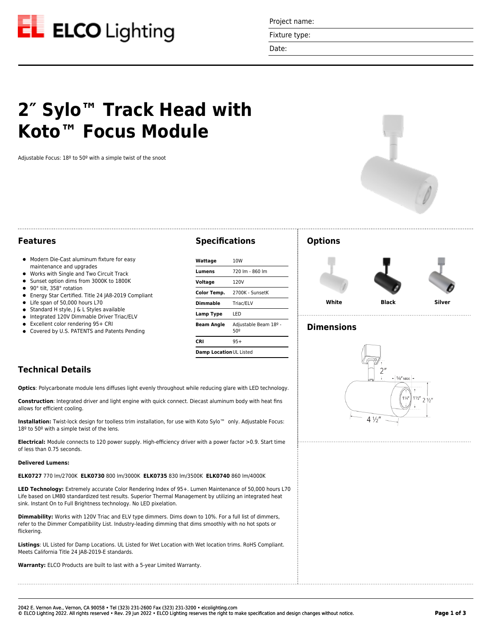

Project name:

Fixture type:

Date:

# **2″ Sylo™ Track Head with Koto™ Focus Module**

Adjustable Focus: 18º to 50º with a simple twist of the snoot



# **Features**

- $\bullet$  Modern Die-Cast aluminum fixture for easy maintenance and upgrades
- Works with Single and Two Circuit Track
- Sunset option dims from 3000K to 1800K
- 90° tilt, 358° rotation  $\bullet$
- Energy Star Certified. Title 24 JA8-2019 Compliant
- Life span of 50,000 hours L70
- $\bullet$ Standard H style, J & L Styles available
- $\bullet$  Integrated 120V Dimmable Driver Triac/ELV
- Excellent color rendering 95+ CRI
- Covered by U.S. PATENTS and Patents Pending

# **Specifications**

| Wattage                                           | 10W             |  |
|---------------------------------------------------|-----------------|--|
| Lumens                                            | 720 lm - 860 lm |  |
| Voltage                                           | 120V            |  |
| Color Temp.                                       | 2700K - SunsetK |  |
| Dimmable                                          | Triac/ELV       |  |
| Lamp Type                                         | LED             |  |
| Adjustable Beam 18º -<br><b>Beam Angle</b><br>50º |                 |  |
| CRI                                               | $95+$           |  |
| Damp Location UL Listed                           |                 |  |

# **Options**



. . . . . . . . . . . . . . . . . . . .

# **Dimensions**



# **Technical Details**

**Optics**: Polycarbonate module lens diffuses light evenly throughout while reducing glare with LED technology.

**Construction**: Integrated driver and light engine with quick connect. Diecast aluminum body with heat fins allows for efficient cooling.

**Installation:** Twist-lock design for toolless trim installation, for use with Koto Sylo™ only. Adjustable Focus: 18º to 50º with a simple twist of the lens.

**Electrical:** Module connects to 120 power supply. High-efficiency driver with a power factor >0.9. Start time of less than 0.75 seconds.

### **Delivered Lumens:**

**ELK0727** 770 lm/2700K **ELK0730** 800 lm/3000K **ELK0735** 830 lm/3500K **ELK0740** 860 lm/4000K

**LED Technology:** Extremely accurate Color Rendering Index of 95+. Lumen Maintenance of 50,000 hours L70 Life based on LM80 standardized test results. Superior Thermal Management by utilizing an integrated heat sink. Instant On to Full Brightness technology. No LED pixelation.

**Dimmability:** Works with 120V Triac and ELV type dimmers. Dims down to 10%. For a full list of dimmers, refer to the Dimmer Compatibility List. Industry-leading dimming that dims smoothly with no hot spots or flickering.

**Listings**: UL Listed for Damp Locations. UL Listed for Wet Location with Wet location trims. RoHS Compliant. Meets California Title 24 JA8-2019-E standards.

**Warranty:** ELCO Products are built to last with a 5-year Limited Warranty.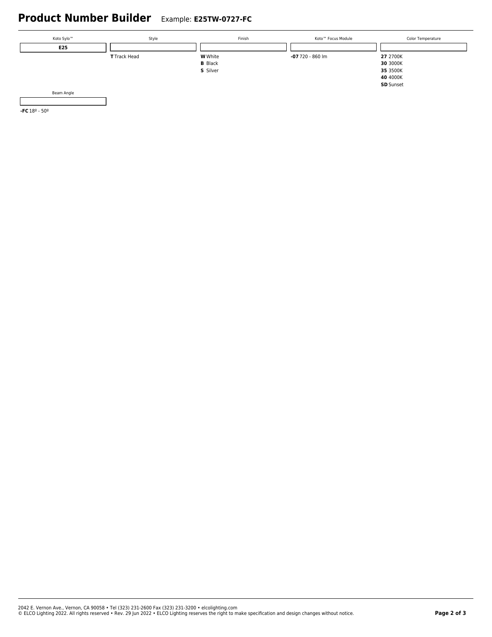# **Product Number Builder** Example: **E25TW-0727-FC**



**-FC** 18º - 50º